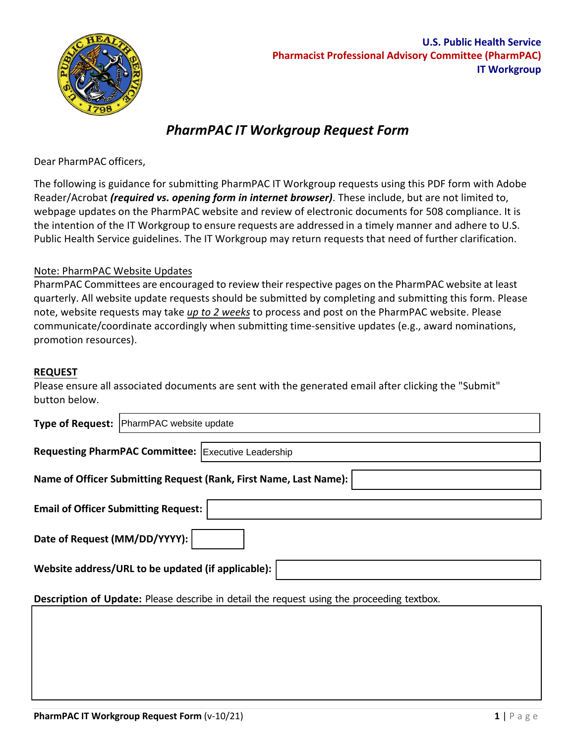

## *PharmPAC IT Workgroup Request Form*

Dear PharmPAC officers,

 The following is guidance for submitting PharmPAC IT Workgroup requests using this PDF form with Adobe Reader/Acrobat *(required vs. opening form in internet browser)*. These include, but are not limited to, webpage updates on the PharmPAC website and review of electronic documents for 508 compliance. It is the intention of the IT Workgroup to ensure requests are addressed in a timely manner and adhere to U.S. Public Health Service guidelines. The IT Workgroup may return requests that need of further clarification.

## Note: PharmPAC Website Updates

 quarterly. All website update requests should be submitted by completing and submitting this form. Please note, website requests may take *up to 2 weeks* to process and post on the PharmPAC website. Please communicate/coordinate accordingly when submitting time-sensitive updates (e.g., award nominations, PharmPAC Committees are encouraged to review their respective pages on the PharmPAC website at least promotion resources).

## **REQUEST**

 Please ensure all associated documents are sent with the generated email after clicking the "Submit" button below.

|                                                                                                   | Type of Request: PharmPAC website update            |
|---------------------------------------------------------------------------------------------------|-----------------------------------------------------|
|                                                                                                   | Requesting PharmPAC Committee: Executive Leadership |
| Name of Officer Submitting Request (Rank, First Name, Last Name):                                 |                                                     |
| <b>Email of Officer Submitting Request:</b>                                                       |                                                     |
| Date of Request (MM/DD/YYYY):                                                                     |                                                     |
| Website address/URL to be updated (if applicable):                                                |                                                     |
| <b>Description of Update:</b> Please describe in detail the request using the proceeding textbox. |                                                     |
|                                                                                                   |                                                     |
|                                                                                                   |                                                     |
|                                                                                                   |                                                     |
|                                                                                                   |                                                     |